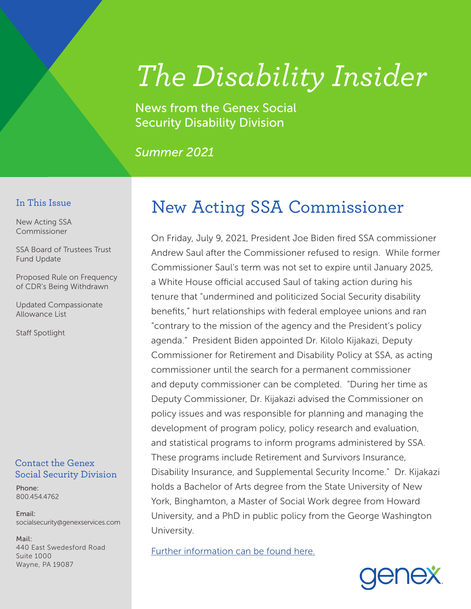# *The Disability Insider*

News from the Genex Social Security Disability Division

*Summer 2021*

#### In This Issue

New Acting SSA Commissioner

SSA Board of Trustees Trust Fund Update

Proposed Rule on Frequency of CDR's Being Withdrawn

Updated Compassionate Allowance List

Staff Spotlight

#### Contact the Genex Social Security Division

Phone: 800.454.4762

Email: socialsecurity@genexservices.com

Mail: 440 East Swedesford Road Suite 1000 Wayne, PA 19087

# New Acting SSA Commissioner

On Friday, July 9, 2021, President Joe Biden fired SSA commissioner Andrew Saul after the Commissioner refused to resign. While former Commissioner Saul's term was not set to expire until January 2025, a White House official accused Saul of taking action during his tenure that "undermined and politicized Social Security disability benefits," hurt relationships with federal employee unions and ran "contrary to the mission of the agency and the President's policy agenda." President Biden appointed Dr. Kilolo Kijakazi, Deputy Commissioner for Retirement and Disability Policy at SSA, as acting commissioner until the search for a permanent commissioner and deputy commissioner can be completed. "During her time as Deputy Commissioner, Dr. Kijakazi advised the Commissioner on policy issues and was responsible for planning and managing the development of program policy, policy research and evaluation, and statistical programs to inform programs administered by SSA. These programs include Retirement and Survivors Insurance, Disability Insurance, and Supplemental Security Income." Dr. Kijakazi holds a Bachelor of Arts degree from the State University of New York, Binghamton, a Master of Social Work degree from Howard University, and a PhD in public policy from the George Washington University.

[Further information can be found here.](https://www.ssa.gov/agency/commissioner/)

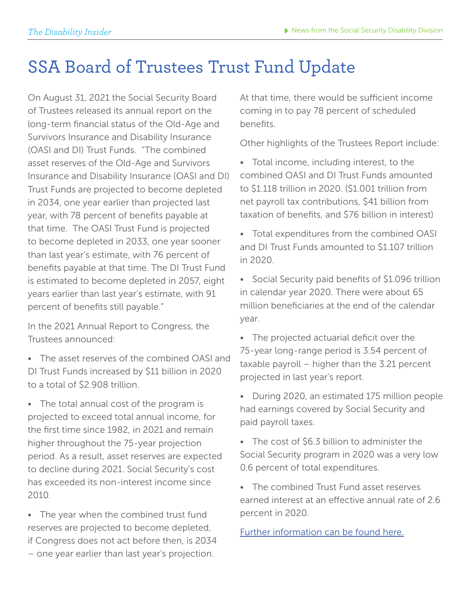# SSA Board of Trustees Trust Fund Update

On August 31, 2021 the Social Security Board of Trustees released its annual report on the long-term financial status of the Old-Age and Survivors Insurance and Disability Insurance (OASI and DI) Trust Funds. "The combined asset reserves of the Old-Age and Survivors Insurance and Disability Insurance (OASI and DI) Trust Funds are projected to become depleted in 2034, one year earlier than projected last year, with 78 percent of benefits payable at that time. The OASI Trust Fund is projected to become depleted in 2033, one year sooner than last year's estimate, with 76 percent of benefits payable at that time. The DI Trust Fund is estimated to become depleted in 2057, eight years earlier than last year's estimate, with 91 percent of benefits still payable."

In the 2021 Annual Report to Congress, the Trustees announced:

• The asset reserves of the combined OASI and DI Trust Funds increased by \$11 billion in 2020 to a total of \$2.908 trillion.

• The total annual cost of the program is projected to exceed total annual income, for the first time since 1982, in 2021 and remain higher throughout the 75-year projection period. As a result, asset reserves are expected to decline during 2021. Social Security's cost has exceeded its non-interest income since 2010.

• The year when the combined trust fund reserves are projected to become depleted, if Congress does not act before then, is 2034 – one year earlier than last year's projection.

At that time, there would be sufficient income coming in to pay 78 percent of scheduled benefits.

Other highlights of the Trustees Report include:

- Total income, including interest, to the combined OASI and DI Trust Funds amounted to \$1.118 trillion in 2020. (\$1.001 trillion from net payroll tax contributions, \$41 billion from taxation of benefits, and \$76 billion in interest)
- Total expenditures from the combined OASI and DI Trust Funds amounted to \$1.107 trillion in 2020.
- Social Security paid benefits of \$1.096 trillion in calendar year 2020. There were about 65 million beneficiaries at the end of the calendar year.
- The projected actuarial deficit over the 75-year long-range period is 3.54 percent of taxable payroll – higher than the 3.21 percent projected in last year's report.
- During 2020, an estimated 175 million people had earnings covered by Social Security and paid payroll taxes.
- The cost of \$6.3 billion to administer the Social Security program in 2020 was a very low 0.6 percent of total expenditures.
- The combined Trust Fund asset reserves earned interest at an effective annual rate of 2.6 percent in 2020.

[Further information can be found here.](https://www.ssa.gov/news/press/releases/2021/?utm_content=pressrelease&utm_)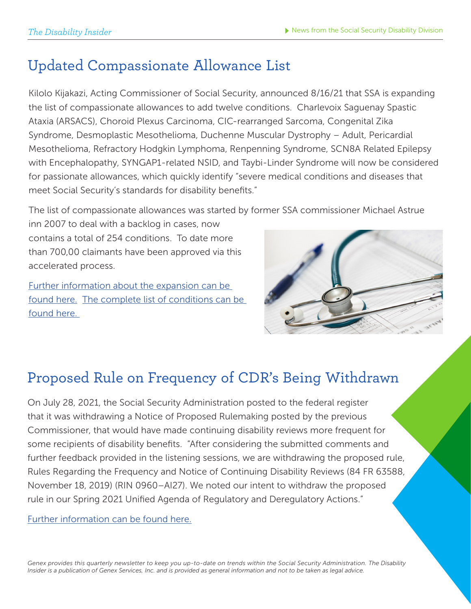#### Updated Compassionate Allowance List

Kilolo Kijakazi, Acting Commissioner of Social Security, announced 8/16/21 that SSA is expanding the list of compassionate allowances to add twelve conditions. Charlevoix Saguenay Spastic Ataxia (ARSACS), Choroid Plexus Carcinoma, CIC-rearranged Sarcoma, Congenital Zika Syndrome, Desmoplastic Mesothelioma, Duchenne Muscular Dystrophy – Adult, Pericardial Mesothelioma, Refractory Hodgkin Lymphoma, Renpenning Syndrome, SCN8A Related Epilepsy with Encephalopathy, SYNGAP1-related NSID, and Taybi-Linder Syndrome will now be considered for passionate allowances, which quickly identify "severe medical conditions and diseases that meet Social Security's standards for disability benefits."

The list of compassionate allowances was started by former SSA commissioner Michael Astrue

inn 2007 to deal with a backlog in cases, now contains a total of 254 conditions. To date more than 700,00 claimants have been approved via this accelerated process.

[Further information about the expansion can be](https://www.ssa.gov/news/press/releases/2021/#8-2021-1)  [found here.](https://www.ssa.gov/news/press/releases/2021/#8-2021-1) [The complete list of conditions can be](https://www.ssa.gov/compassionateallowances/conditions.htm)  [found here.](https://www.ssa.gov/compassionateallowances/conditions.htm) 



### Proposed Rule on Frequency of CDR's Being Withdrawn

On July 28, 2021, the Social Security Administration posted to the federal register that it was withdrawing a Notice of Proposed Rulemaking posted by the previous Commissioner, that would have made continuing disability reviews more frequent for some recipients of disability benefits. "After considering the submitted comments and further feedback provided in the listening sessions, we are withdrawing the proposed rule, Rules Regarding the Frequency and Notice of Continuing Disability Reviews (84 FR 63588, November 18, 2019) (RIN 0960–AI27). We noted our intent to withdraw the proposed rule in our Spring 2021 Unified Agenda of Regulatory and Deregulatory Actions."

[Further information can be found here.](https://www.govinfo.gov/content/pkg/FR-2021-07-28/pdf/2021-15896.pdf
)

*Genex provides this quarterly newsletter to keep you up-to-date on trends within the Social Security Administration. The Disability Insider is a publication of Genex Services, Inc. and is provided as general information and not to be taken as legal advice.*